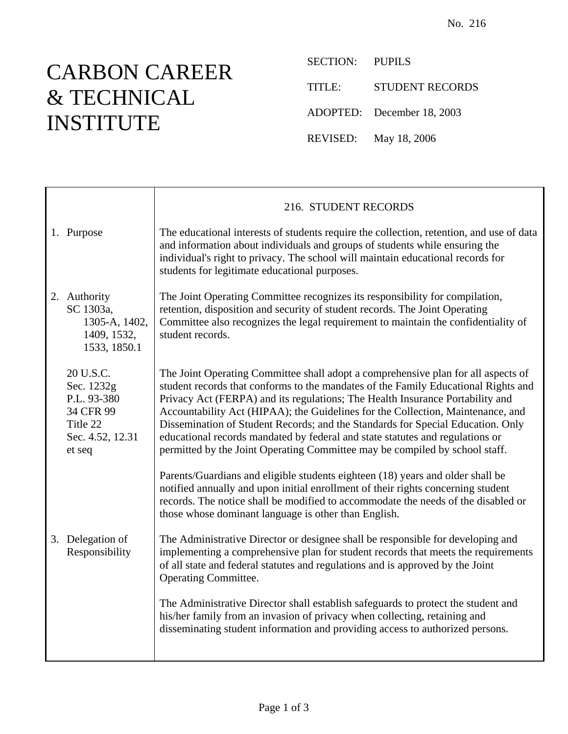## CARBON CAREER & TECHNICAL INSTITUTE

SECTION: PUPILS

TITLE: STUDENT RECORDS

ADOPTED: December 18, 2003

REVISED: May 18, 2006

|                                                                                               | 216. STUDENT RECORDS                                                                                                                                                                                                                                                                                                                                                                                                                                                                                                                                                                           |  |
|-----------------------------------------------------------------------------------------------|------------------------------------------------------------------------------------------------------------------------------------------------------------------------------------------------------------------------------------------------------------------------------------------------------------------------------------------------------------------------------------------------------------------------------------------------------------------------------------------------------------------------------------------------------------------------------------------------|--|
| 1. Purpose                                                                                    | The educational interests of students require the collection, retention, and use of data<br>and information about individuals and groups of students while ensuring the<br>individual's right to privacy. The school will maintain educational records for<br>students for legitimate educational purposes.                                                                                                                                                                                                                                                                                    |  |
| 2. Authority<br>SC 1303a,<br>1305-A, 1402,<br>1409, 1532,<br>1533, 1850.1                     | The Joint Operating Committee recognizes its responsibility for compilation,<br>retention, disposition and security of student records. The Joint Operating<br>Committee also recognizes the legal requirement to maintain the confidentiality of<br>student records.                                                                                                                                                                                                                                                                                                                          |  |
| 20 U.S.C.<br>Sec. 1232g<br>P.L. 93-380<br>34 CFR 99<br>Title 22<br>Sec. 4.52, 12.31<br>et seq | The Joint Operating Committee shall adopt a comprehensive plan for all aspects of<br>student records that conforms to the mandates of the Family Educational Rights and<br>Privacy Act (FERPA) and its regulations; The Health Insurance Portability and<br>Accountability Act (HIPAA); the Guidelines for the Collection, Maintenance, and<br>Dissemination of Student Records; and the Standards for Special Education. Only<br>educational records mandated by federal and state statutes and regulations or<br>permitted by the Joint Operating Committee may be compiled by school staff. |  |
|                                                                                               | Parents/Guardians and eligible students eighteen (18) years and older shall be<br>notified annually and upon initial enrollment of their rights concerning student<br>records. The notice shall be modified to accommodate the needs of the disabled or<br>those whose dominant language is other than English.                                                                                                                                                                                                                                                                                |  |
| 3. Delegation of<br>Responsibility                                                            | The Administrative Director or designee shall be responsible for developing and<br>implementing a comprehensive plan for student records that meets the requirements<br>of all state and federal statutes and regulations and is approved by the Joint<br>Operating Committee.                                                                                                                                                                                                                                                                                                                 |  |
|                                                                                               | The Administrative Director shall establish safeguards to protect the student and<br>his/her family from an invasion of privacy when collecting, retaining and<br>disseminating student information and providing access to authorized persons.                                                                                                                                                                                                                                                                                                                                                |  |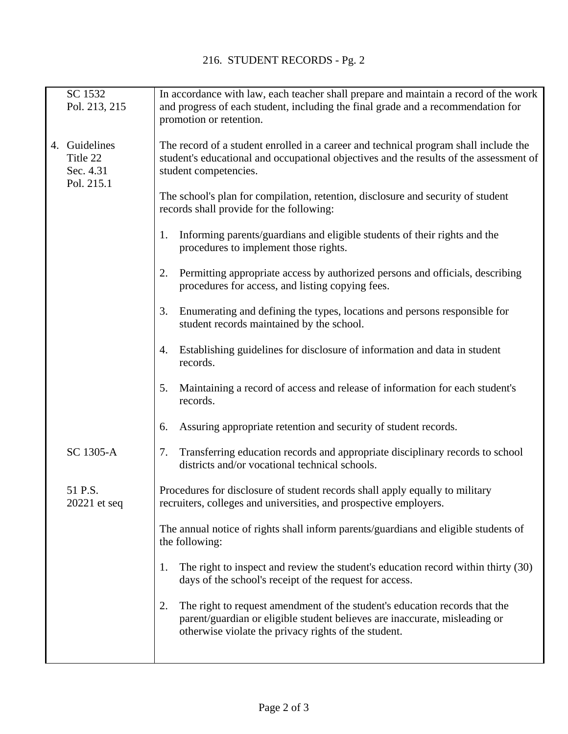|  | SC 1532<br>Pol. 213, 215                             | In accordance with law, each teacher shall prepare and maintain a record of the work<br>and progress of each student, including the final grade and a recommendation for<br>promotion or retention.                    |
|--|------------------------------------------------------|------------------------------------------------------------------------------------------------------------------------------------------------------------------------------------------------------------------------|
|  | 4. Guidelines<br>Title 22<br>Sec. 4.31<br>Pol. 215.1 | The record of a student enrolled in a career and technical program shall include the<br>student's educational and occupational objectives and the results of the assessment of<br>student competencies.                |
|  |                                                      | The school's plan for compilation, retention, disclosure and security of student<br>records shall provide for the following:                                                                                           |
|  |                                                      | Informing parents/guardians and eligible students of their rights and the<br>1.<br>procedures to implement those rights.                                                                                               |
|  |                                                      | Permitting appropriate access by authorized persons and officials, describing<br>2.<br>procedures for access, and listing copying fees.                                                                                |
|  |                                                      | Enumerating and defining the types, locations and persons responsible for<br>3.<br>student records maintained by the school.                                                                                           |
|  |                                                      | Establishing guidelines for disclosure of information and data in student<br>4.<br>records.                                                                                                                            |
|  |                                                      | Maintaining a record of access and release of information for each student's<br>5.<br>records.                                                                                                                         |
|  |                                                      | Assuring appropriate retention and security of student records.<br>6.                                                                                                                                                  |
|  | SC 1305-A                                            | Transferring education records and appropriate disciplinary records to school<br>7.<br>districts and/or vocational technical schools.                                                                                  |
|  | 51 P.S.<br>20221 et seq                              | Procedures for disclosure of student records shall apply equally to military<br>recruiters, colleges and universities, and prospective employers.                                                                      |
|  |                                                      | The annual notice of rights shall inform parents/guardians and eligible students of<br>the following:                                                                                                                  |
|  |                                                      | The right to inspect and review the student's education record within thirty (30)<br>1.<br>days of the school's receipt of the request for access.                                                                     |
|  |                                                      | The right to request amendment of the student's education records that the<br>2.<br>parent/guardian or eligible student believes are inaccurate, misleading or<br>otherwise violate the privacy rights of the student. |
|  |                                                      |                                                                                                                                                                                                                        |